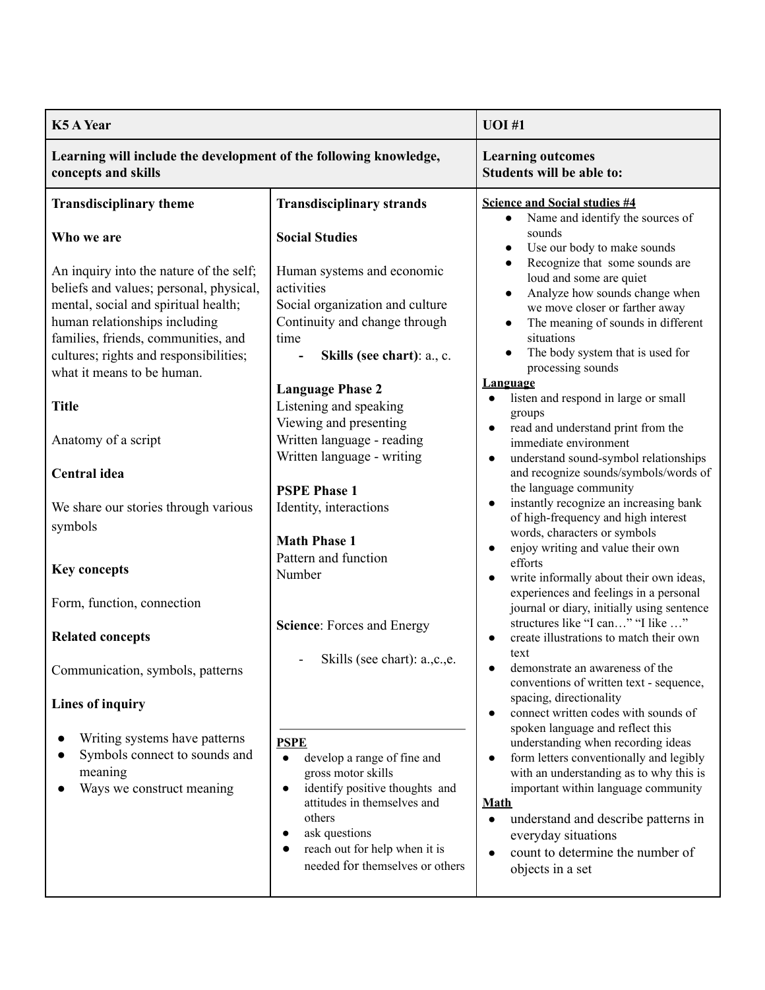| <b>K5 A Year</b>                                                                                                                                                                                                                                                           |                                                                                                                                                                                                                                                                                      | <b>UOI</b> #1                                                                                                                                                                                                                                                                                                                                                                   |
|----------------------------------------------------------------------------------------------------------------------------------------------------------------------------------------------------------------------------------------------------------------------------|--------------------------------------------------------------------------------------------------------------------------------------------------------------------------------------------------------------------------------------------------------------------------------------|---------------------------------------------------------------------------------------------------------------------------------------------------------------------------------------------------------------------------------------------------------------------------------------------------------------------------------------------------------------------------------|
| Learning will include the development of the following knowledge,<br>concepts and skills                                                                                                                                                                                   |                                                                                                                                                                                                                                                                                      | <b>Learning outcomes</b><br><b>Students will be able to:</b>                                                                                                                                                                                                                                                                                                                    |
| <b>Transdisciplinary theme</b>                                                                                                                                                                                                                                             | <b>Transdisciplinary strands</b>                                                                                                                                                                                                                                                     | <b>Science and Social studies #4</b><br>Name and identify the sources of                                                                                                                                                                                                                                                                                                        |
| Who we are                                                                                                                                                                                                                                                                 | <b>Social Studies</b>                                                                                                                                                                                                                                                                | sounds<br>Use our body to make sounds<br>Recognize that some sounds are                                                                                                                                                                                                                                                                                                         |
| An inquiry into the nature of the self;<br>beliefs and values; personal, physical,<br>mental, social and spiritual health;<br>human relationships including<br>families, friends, communities, and<br>cultures; rights and responsibilities;<br>what it means to be human. | Human systems and economic<br>activities<br>Social organization and culture<br>Continuity and change through<br>time<br>Skills (see chart): a., c.                                                                                                                                   | loud and some are quiet<br>Analyze how sounds change when<br>we move closer or farther away<br>The meaning of sounds in different<br>situations<br>The body system that is used for<br>processing sounds                                                                                                                                                                        |
| <b>Title</b>                                                                                                                                                                                                                                                               | <b>Language Phase 2</b><br>Listening and speaking<br>Viewing and presenting                                                                                                                                                                                                          | <u>Language</u><br>listen and respond in large or small<br>groups                                                                                                                                                                                                                                                                                                               |
| Anatomy of a script                                                                                                                                                                                                                                                        | Written language - reading<br>Written language - writing                                                                                                                                                                                                                             | read and understand print from the<br>immediate environment<br>understand sound-symbol relationships                                                                                                                                                                                                                                                                            |
| <b>Central</b> idea                                                                                                                                                                                                                                                        | <b>PSPE Phase 1</b>                                                                                                                                                                                                                                                                  | and recognize sounds/symbols/words of<br>the language community                                                                                                                                                                                                                                                                                                                 |
| We share our stories through various<br>symbols                                                                                                                                                                                                                            | Identity, interactions                                                                                                                                                                                                                                                               | instantly recognize an increasing bank<br>of high-frequency and high interest                                                                                                                                                                                                                                                                                                   |
| <b>Key concepts</b>                                                                                                                                                                                                                                                        | <b>Math Phase 1</b><br>Pattern and function<br>Number                                                                                                                                                                                                                                | words, characters or symbols<br>enjoy writing and value their own<br>efforts<br>write informally about their own ideas,<br>$\bullet$                                                                                                                                                                                                                                            |
| Form, function, connection                                                                                                                                                                                                                                                 |                                                                                                                                                                                                                                                                                      | experiences and feelings in a personal<br>journal or diary, initially using sentence                                                                                                                                                                                                                                                                                            |
| <b>Related concepts</b>                                                                                                                                                                                                                                                    | Science: Forces and Energy                                                                                                                                                                                                                                                           | structures like "I can" "I like "<br>create illustrations to match their own                                                                                                                                                                                                                                                                                                    |
| Communication, symbols, patterns                                                                                                                                                                                                                                           | Skills (see chart): a., c., e.                                                                                                                                                                                                                                                       | text<br>demonstrate an awareness of the<br>conventions of written text - sequence,                                                                                                                                                                                                                                                                                              |
| Lines of inquiry                                                                                                                                                                                                                                                           |                                                                                                                                                                                                                                                                                      | spacing, directionality<br>connect written codes with sounds of<br>$\bullet$                                                                                                                                                                                                                                                                                                    |
| Writing systems have patterns<br>Symbols connect to sounds and<br>meaning<br>Ways we construct meaning                                                                                                                                                                     | <b>PSPE</b><br>develop a range of fine and<br>$\bullet$<br>gross motor skills<br>identify positive thoughts and<br>$\bullet$<br>attitudes in themselves and<br>others<br>ask questions<br>$\bullet$<br>reach out for help when it is<br>$\bullet$<br>needed for themselves or others | spoken language and reflect this<br>understanding when recording ideas<br>form letters conventionally and legibly<br>$\bullet$<br>with an understanding as to why this is<br>important within language community<br><b>Math</b><br>understand and describe patterns in<br>$\bullet$<br>everyday situations<br>count to determine the number of<br>$\bullet$<br>objects in a set |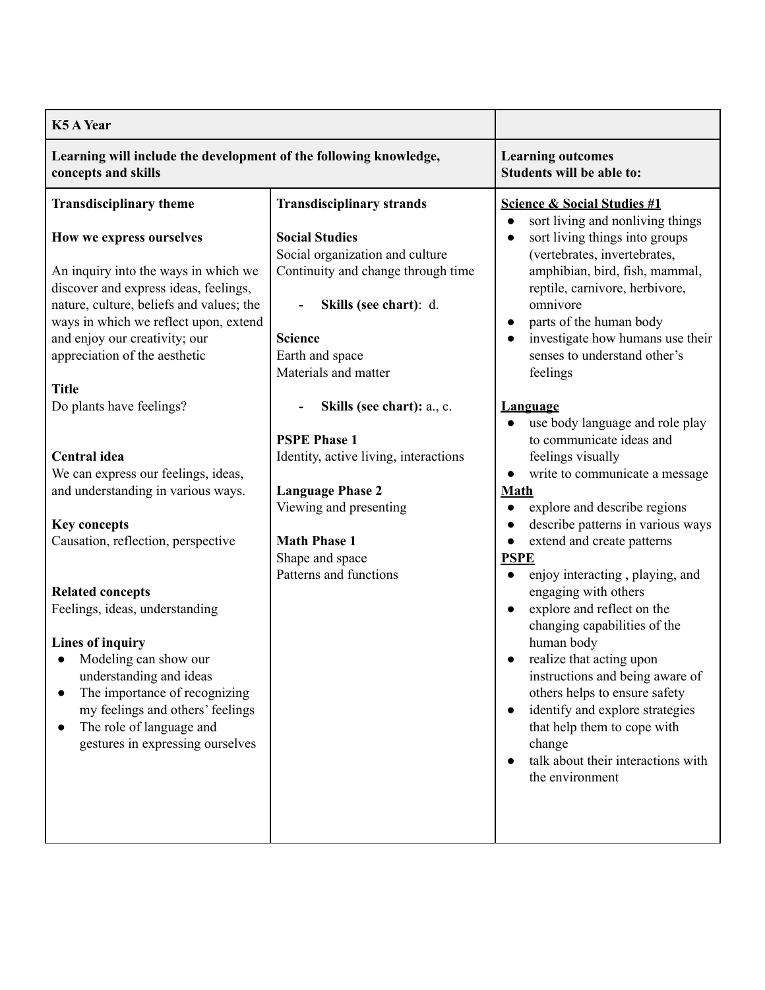| <b>K5 A Year</b>                                                                                                                                                                                                                                                                                                                                                                                                                                                                           |                                                                                                                                                                                                                                             |                                                                                                                                                                                                                                                                                                                                                                                                                                                                                                                                                                                                                                                                                                                                 |
|--------------------------------------------------------------------------------------------------------------------------------------------------------------------------------------------------------------------------------------------------------------------------------------------------------------------------------------------------------------------------------------------------------------------------------------------------------------------------------------------|---------------------------------------------------------------------------------------------------------------------------------------------------------------------------------------------------------------------------------------------|---------------------------------------------------------------------------------------------------------------------------------------------------------------------------------------------------------------------------------------------------------------------------------------------------------------------------------------------------------------------------------------------------------------------------------------------------------------------------------------------------------------------------------------------------------------------------------------------------------------------------------------------------------------------------------------------------------------------------------|
| Learning will include the development of the following knowledge,<br>concepts and skills                                                                                                                                                                                                                                                                                                                                                                                                   |                                                                                                                                                                                                                                             | <b>Learning outcomes</b><br>Students will be able to:                                                                                                                                                                                                                                                                                                                                                                                                                                                                                                                                                                                                                                                                           |
| <b>Transdisciplinary theme</b><br>How we express ourselves<br>An inquiry into the ways in which we<br>discover and express ideas, feelings,<br>nature, culture, beliefs and values; the<br>ways in which we reflect upon, extend<br>and enjoy our creativity; our<br>appreciation of the aesthetic                                                                                                                                                                                         | <b>Transdisciplinary strands</b><br><b>Social Studies</b><br>Social organization and culture<br>Continuity and change through time<br>Skills (see chart): d.<br><b>Science</b><br>Earth and space                                           | <b>Science &amp; Social Studies #1</b><br>sort living and nonliving things<br>$\bullet$<br>sort living things into groups<br>$\bullet$<br>(vertebrates, invertebrates,<br>amphibian, bird, fish, mammal,<br>reptile, carnivore, herbivore,<br>omnivore<br>parts of the human body<br>$\bullet$<br>investigate how humans use their<br>$\bullet$<br>senses to understand other's                                                                                                                                                                                                                                                                                                                                                 |
| <b>Title</b><br>Do plants have feelings?<br><b>Central</b> idea<br>We can express our feelings, ideas,<br>and understanding in various ways.<br><b>Key concepts</b><br>Causation, reflection, perspective<br><b>Related concepts</b><br>Feelings, ideas, understanding<br><b>Lines of inquiry</b><br>Modeling can show our<br>understanding and ideas<br>The importance of recognizing<br>my feelings and others' feelings<br>The role of language and<br>gestures in expressing ourselves | Materials and matter<br>Skills (see chart): a., c.<br><b>PSPE Phase 1</b><br>Identity, active living, interactions<br><b>Language Phase 2</b><br>Viewing and presenting<br><b>Math Phase 1</b><br>Shape and space<br>Patterns and functions | feelings<br><b>Language</b><br>use body language and role play<br>$\bullet$<br>to communicate ideas and<br>feelings visually<br>write to communicate a message<br>$\bullet$<br><b>Math</b><br>explore and describe regions<br>describe patterns in various ways<br>extend and create patterns<br>$\bullet$<br><b>PSPE</b><br>enjoy interacting, playing, and<br>engaging with others<br>explore and reflect on the<br>$\bullet$<br>changing capabilities of the<br>human body<br>realize that acting upon<br>instructions and being aware of<br>others helps to ensure safety<br>identify and explore strategies<br>$\bullet$<br>that help them to cope with<br>change<br>talk about their interactions with<br>the environment |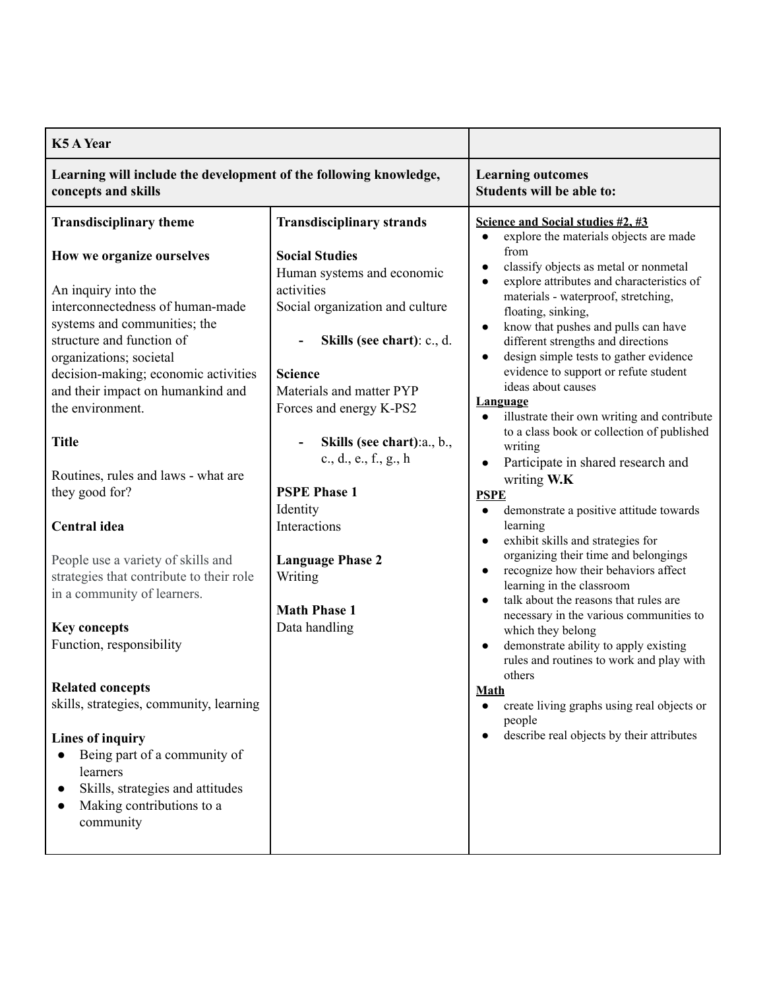| <b>K5 A Year</b>                                                                                                                                                                                                                                                                              |                                                                                                                                                                                                                                                                     |                                                                                                                                                                                                                                                                                                                                                                                                                                                                                                                                                                                      |
|-----------------------------------------------------------------------------------------------------------------------------------------------------------------------------------------------------------------------------------------------------------------------------------------------|---------------------------------------------------------------------------------------------------------------------------------------------------------------------------------------------------------------------------------------------------------------------|--------------------------------------------------------------------------------------------------------------------------------------------------------------------------------------------------------------------------------------------------------------------------------------------------------------------------------------------------------------------------------------------------------------------------------------------------------------------------------------------------------------------------------------------------------------------------------------|
| Learning will include the development of the following knowledge,<br>concepts and skills                                                                                                                                                                                                      |                                                                                                                                                                                                                                                                     | <b>Learning outcomes</b><br>Students will be able to:                                                                                                                                                                                                                                                                                                                                                                                                                                                                                                                                |
| <b>Transdisciplinary theme</b>                                                                                                                                                                                                                                                                | <b>Transdisciplinary strands</b>                                                                                                                                                                                                                                    | Science and Social studies #2, #3<br>explore the materials objects are made<br>from                                                                                                                                                                                                                                                                                                                                                                                                                                                                                                  |
| How we organize ourselves<br>An inquiry into the<br>interconnectedness of human-made<br>systems and communities; the<br>structure and function of<br>organizations; societal<br>decision-making; economic activities<br>and their impact on humankind and<br>the environment.<br><b>Title</b> | <b>Social Studies</b><br>Human systems and economic<br>activities<br>Social organization and culture<br>Skills (see chart): c., d.<br><b>Science</b><br>Materials and matter PYP<br>Forces and energy K-PS2<br>Skills (see chart): a., b.,<br>c., d., e., f., g., h | classify objects as metal or nonmetal<br>$\bullet$<br>explore attributes and characteristics of<br>$\bullet$<br>materials - waterproof, stretching,<br>floating, sinking,<br>know that pushes and pulls can have<br>$\bullet$<br>different strengths and directions<br>design simple tests to gather evidence<br>$\bullet$<br>evidence to support or refute student<br>ideas about causes<br><b>Language</b><br>illustrate their own writing and contribute<br>$\bullet$<br>to a class book or collection of published<br>writing<br>Participate in shared research and<br>$\bullet$ |
| Routines, rules and laws - what are<br>they good for?                                                                                                                                                                                                                                         | <b>PSPE Phase 1</b>                                                                                                                                                                                                                                                 | writing W.K                                                                                                                                                                                                                                                                                                                                                                                                                                                                                                                                                                          |
| Central idea<br>People use a variety of skills and<br>strategies that contribute to their role<br>in a community of learners.                                                                                                                                                                 | Identity<br>Interactions<br><b>Language Phase 2</b><br>Writing<br><b>Math Phase 1</b>                                                                                                                                                                               | <b>PSPE</b><br>demonstrate a positive attitude towards<br>$\bullet$<br>learning<br>exhibit skills and strategies for<br>$\bullet$<br>organizing their time and belongings<br>recognize how their behaviors affect<br>$\bullet$<br>learning in the classroom<br>talk about the reasons that rules are<br>$\bullet$                                                                                                                                                                                                                                                                    |
| <b>Key concepts</b><br>Function, responsibility                                                                                                                                                                                                                                               | Data handling                                                                                                                                                                                                                                                       | necessary in the various communities to<br>which they belong<br>demonstrate ability to apply existing<br>$\bullet$<br>rules and routines to work and play with<br>others                                                                                                                                                                                                                                                                                                                                                                                                             |
| <b>Related concepts</b><br>skills, strategies, community, learning                                                                                                                                                                                                                            |                                                                                                                                                                                                                                                                     | <b>Math</b><br>create living graphs using real objects or<br>$\bullet$<br>people                                                                                                                                                                                                                                                                                                                                                                                                                                                                                                     |
| Lines of inquiry<br>Being part of a community of<br>$\bullet$<br>learners<br>Skills, strategies and attitudes<br>$\bullet$<br>Making contributions to a<br>$\bullet$<br>community                                                                                                             |                                                                                                                                                                                                                                                                     | describe real objects by their attributes<br>$\bullet$                                                                                                                                                                                                                                                                                                                                                                                                                                                                                                                               |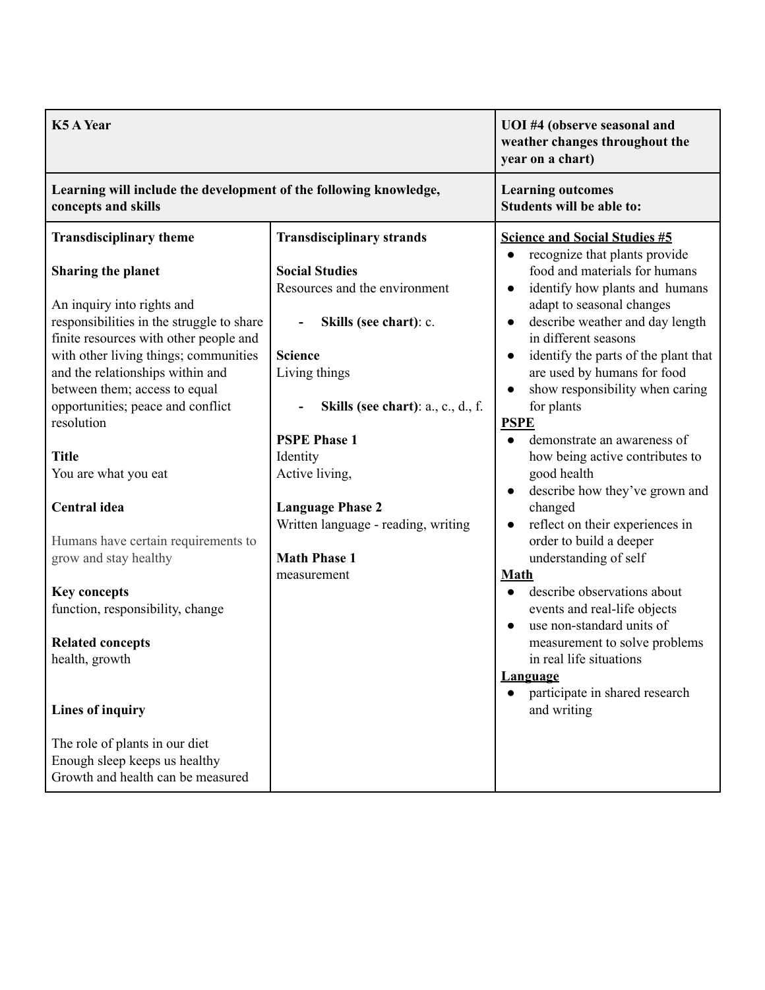| <b>K5 A Year</b>                                                                                                                                                                                                                                                                                                                                                                                                                                                                                                                                                                                      |                                                                                                                                                                                                                                                                                                                                                            | UOI #4 (observe seasonal and<br>weather changes throughout the<br>year on a chart)                                                                                                                                                                                                                                                                                                                                                                                                                                                                                                                                                                                                                                                                                                                                                                   |
|-------------------------------------------------------------------------------------------------------------------------------------------------------------------------------------------------------------------------------------------------------------------------------------------------------------------------------------------------------------------------------------------------------------------------------------------------------------------------------------------------------------------------------------------------------------------------------------------------------|------------------------------------------------------------------------------------------------------------------------------------------------------------------------------------------------------------------------------------------------------------------------------------------------------------------------------------------------------------|------------------------------------------------------------------------------------------------------------------------------------------------------------------------------------------------------------------------------------------------------------------------------------------------------------------------------------------------------------------------------------------------------------------------------------------------------------------------------------------------------------------------------------------------------------------------------------------------------------------------------------------------------------------------------------------------------------------------------------------------------------------------------------------------------------------------------------------------------|
| Learning will include the development of the following knowledge,<br>concepts and skills                                                                                                                                                                                                                                                                                                                                                                                                                                                                                                              |                                                                                                                                                                                                                                                                                                                                                            | <b>Learning outcomes</b><br>Students will be able to:                                                                                                                                                                                                                                                                                                                                                                                                                                                                                                                                                                                                                                                                                                                                                                                                |
| <b>Transdisciplinary theme</b><br><b>Sharing the planet</b><br>An inquiry into rights and<br>responsibilities in the struggle to share<br>finite resources with other people and<br>with other living things; communities<br>and the relationships within and<br>between them; access to equal<br>opportunities; peace and conflict<br>resolution<br><b>Title</b><br>You are what you eat<br>Central idea<br>Humans have certain requirements to<br>grow and stay healthy<br><b>Key concepts</b><br>function, responsibility, change<br><b>Related concepts</b><br>health, growth<br>Lines of inquiry | <b>Transdisciplinary strands</b><br><b>Social Studies</b><br>Resources and the environment<br>Skills (see chart): c.<br><b>Science</b><br>Living things<br>Skills (see chart): a., c., d., f.<br><b>PSPE Phase 1</b><br>Identity<br>Active living,<br><b>Language Phase 2</b><br>Written language - reading, writing<br><b>Math Phase 1</b><br>measurement | <b>Science and Social Studies #5</b><br>recognize that plants provide<br>$\bullet$<br>food and materials for humans<br>identify how plants and humans<br>adapt to seasonal changes<br>describe weather and day length<br>in different seasons<br>identify the parts of the plant that<br>are used by humans for food<br>show responsibility when caring<br>for plants<br><b>PSPE</b><br>demonstrate an awareness of<br>how being active contributes to<br>good health<br>describe how they've grown and<br>changed<br>reflect on their experiences in<br>order to build a deeper<br>understanding of self<br><b>Math</b><br>describe observations about<br>events and real-life objects<br>use non-standard units of<br>measurement to solve problems<br>in real life situations<br><b>Language</b><br>participate in shared research<br>and writing |
| The role of plants in our diet<br>Enough sleep keeps us healthy<br>Growth and health can be measured                                                                                                                                                                                                                                                                                                                                                                                                                                                                                                  |                                                                                                                                                                                                                                                                                                                                                            |                                                                                                                                                                                                                                                                                                                                                                                                                                                                                                                                                                                                                                                                                                                                                                                                                                                      |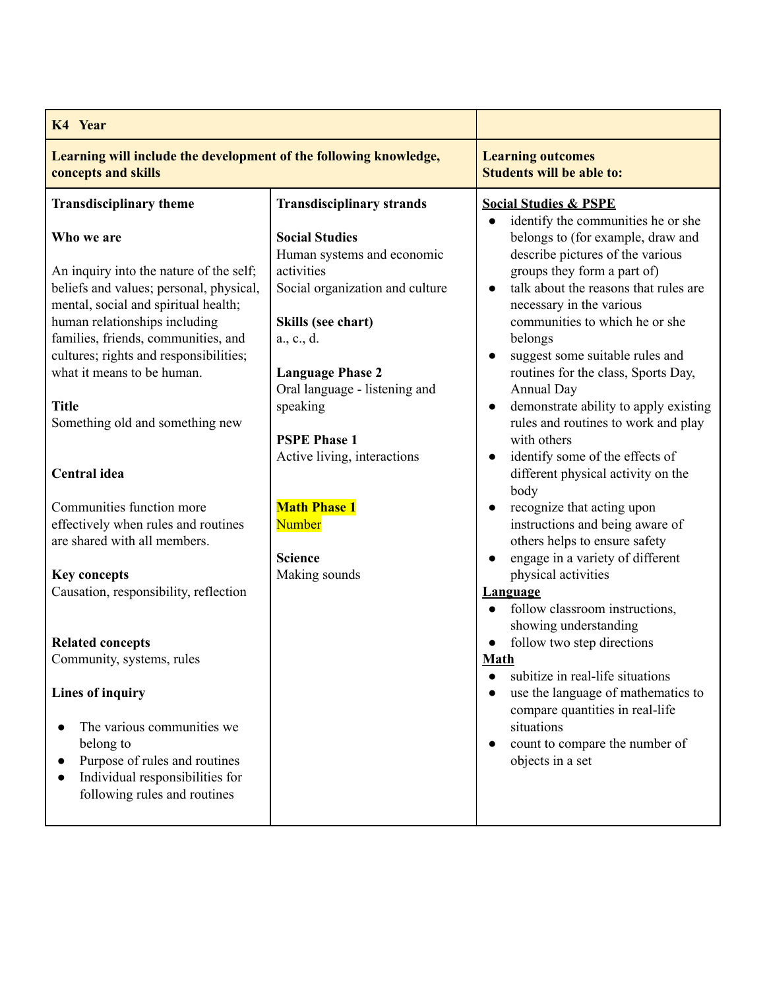| K4 Year                                                                                                                                                                                                                                                                                                                                     |                                                                                                                                                                                                                  |                                                                                                                                                                                                                                                                                                                                                                                                                                                                                          |
|---------------------------------------------------------------------------------------------------------------------------------------------------------------------------------------------------------------------------------------------------------------------------------------------------------------------------------------------|------------------------------------------------------------------------------------------------------------------------------------------------------------------------------------------------------------------|------------------------------------------------------------------------------------------------------------------------------------------------------------------------------------------------------------------------------------------------------------------------------------------------------------------------------------------------------------------------------------------------------------------------------------------------------------------------------------------|
| Learning will include the development of the following knowledge,<br>concepts and skills                                                                                                                                                                                                                                                    |                                                                                                                                                                                                                  | <b>Learning outcomes</b><br><b>Students will be able to:</b>                                                                                                                                                                                                                                                                                                                                                                                                                             |
| <b>Transdisciplinary theme</b>                                                                                                                                                                                                                                                                                                              | <b>Transdisciplinary strands</b>                                                                                                                                                                                 | <b>Social Studies &amp; PSPE</b>                                                                                                                                                                                                                                                                                                                                                                                                                                                         |
| Who we are<br>An inquiry into the nature of the self;<br>beliefs and values; personal, physical,<br>mental, social and spiritual health;<br>human relationships including<br>families, friends, communities, and<br>cultures; rights and responsibilities;<br>what it means to be human.<br><b>Title</b><br>Something old and something new | <b>Social Studies</b><br>Human systems and economic<br>activities<br>Social organization and culture<br>Skills (see chart)<br>a., c., d.<br><b>Language Phase 2</b><br>Oral language - listening and<br>speaking | identify the communities he or she<br>$\bullet$<br>belongs to (for example, draw and<br>describe pictures of the various<br>groups they form a part of)<br>talk about the reasons that rules are<br>$\bullet$<br>necessary in the various<br>communities to which he or she<br>belongs<br>suggest some suitable rules and<br>$\bullet$<br>routines for the class, Sports Day,<br>Annual Day<br>demonstrate ability to apply existing<br>$\bullet$<br>rules and routines to work and play |
| <b>Central</b> idea<br>Communities function more<br>effectively when rules and routines<br>are shared with all members.                                                                                                                                                                                                                     | <b>PSPE Phase 1</b><br>Active living, interactions<br><b>Math Phase 1</b><br><b>Number</b>                                                                                                                       | with others<br>identify some of the effects of<br>$\bullet$<br>different physical activity on the<br>body<br>recognize that acting upon<br>instructions and being aware of<br>others helps to ensure safety                                                                                                                                                                                                                                                                              |
| <b>Key concepts</b><br>Causation, responsibility, reflection<br><b>Related concepts</b>                                                                                                                                                                                                                                                     | <b>Science</b><br>Making sounds                                                                                                                                                                                  | engage in a variety of different<br>$\bullet$<br>physical activities<br><b>Language</b><br>follow classroom instructions,<br>$\bullet$<br>showing understanding<br>follow two step directions                                                                                                                                                                                                                                                                                            |
| Community, systems, rules<br><b>Lines of inquiry</b><br>The various communities we<br>belong to<br>Purpose of rules and routines<br>Individual responsibilities for<br>following rules and routines                                                                                                                                         |                                                                                                                                                                                                                  | Math<br>subitize in real-life situations<br>$\bullet$<br>use the language of mathematics to<br>$\bullet$<br>compare quantities in real-life<br>situations<br>count to compare the number of<br>objects in a set                                                                                                                                                                                                                                                                          |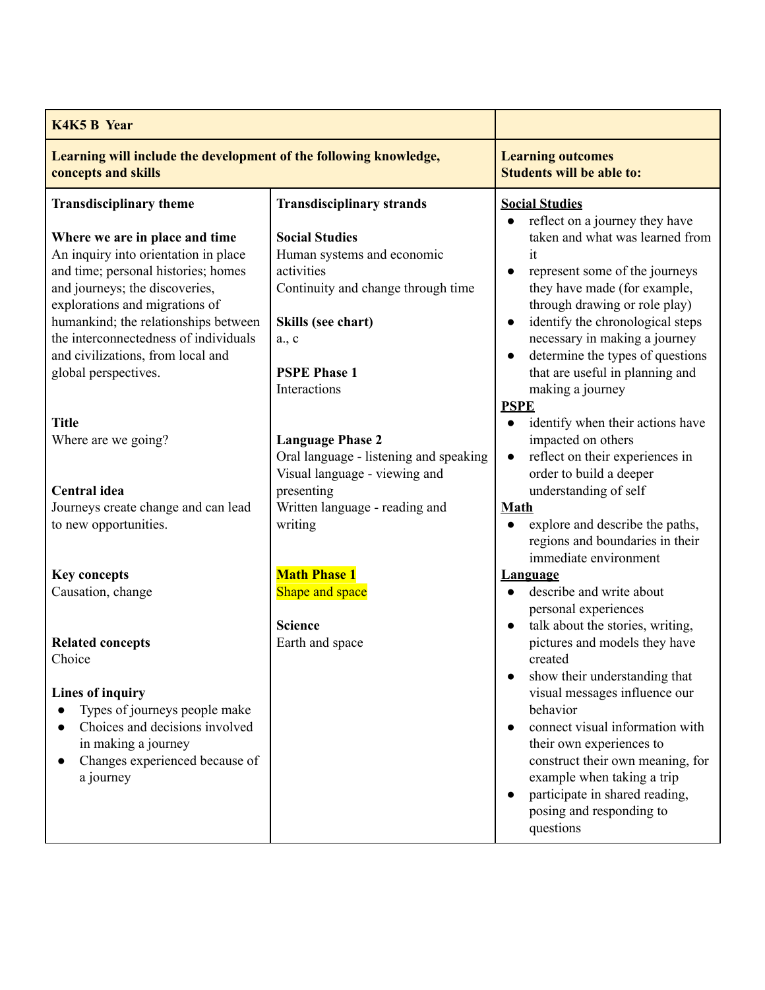| <b>K4K5 B Year</b>                                                                                                                                                                                                                                                                                   |                                                                                                                                                                            |                                                                                                                                                                                                                                                                                                    |
|------------------------------------------------------------------------------------------------------------------------------------------------------------------------------------------------------------------------------------------------------------------------------------------------------|----------------------------------------------------------------------------------------------------------------------------------------------------------------------------|----------------------------------------------------------------------------------------------------------------------------------------------------------------------------------------------------------------------------------------------------------------------------------------------------|
| Learning will include the development of the following knowledge,<br>concepts and skills                                                                                                                                                                                                             |                                                                                                                                                                            | <b>Learning outcomes</b><br><b>Students will be able to:</b>                                                                                                                                                                                                                                       |
| <b>Transdisciplinary theme</b><br>Where we are in place and time<br>An inquiry into orientation in place<br>and time; personal histories; homes<br>and journeys; the discoveries,<br>explorations and migrations of<br>humankind; the relationships between<br>the interconnectedness of individuals | <b>Transdisciplinary strands</b><br><b>Social Studies</b><br>Human systems and economic<br>activities<br>Continuity and change through time<br>Skills (see chart)<br>a., c | <b>Social Studies</b><br>reflect on a journey they have<br>taken and what was learned from<br>it<br>represent some of the journeys<br>$\bullet$<br>they have made (for example,<br>through drawing or role play)<br>identify the chronological steps<br>$\bullet$<br>necessary in making a journey |
| and civilizations, from local and<br>global perspectives.<br><b>Title</b>                                                                                                                                                                                                                            | <b>PSPE Phase 1</b><br>Interactions                                                                                                                                        | determine the types of questions<br>that are useful in planning and<br>making a journey<br><b>PSPE</b><br>identify when their actions have                                                                                                                                                         |
| Where are we going?                                                                                                                                                                                                                                                                                  | <b>Language Phase 2</b><br>Oral language - listening and speaking<br>Visual language - viewing and                                                                         | impacted on others<br>reflect on their experiences in<br>$\bullet$<br>order to build a deeper                                                                                                                                                                                                      |
| <b>Central</b> idea<br>Journeys create change and can lead<br>to new opportunities.                                                                                                                                                                                                                  | presenting<br>Written language - reading and<br>writing                                                                                                                    | understanding of self<br><b>Math</b><br>explore and describe the paths,<br>$\bullet$<br>regions and boundaries in their<br>immediate environment                                                                                                                                                   |
| <b>Key concepts</b><br>Causation, change                                                                                                                                                                                                                                                             | <b>Math Phase 1</b><br>Shape and space<br><b>Science</b>                                                                                                                   | <b>Language</b><br>describe and write about<br>personal experiences<br>talk about the stories, writing,<br>$\bullet$                                                                                                                                                                               |
| <b>Related concepts</b><br>Choice                                                                                                                                                                                                                                                                    | Earth and space                                                                                                                                                            | pictures and models they have<br>created<br>show their understanding that                                                                                                                                                                                                                          |
| <b>Lines of inquiry</b><br>Types of journeys people make<br>Choices and decisions involved<br>in making a journey<br>Changes experienced because of<br>a journey                                                                                                                                     |                                                                                                                                                                            | visual messages influence our<br>behavior<br>connect visual information with<br>their own experiences to<br>construct their own meaning, for<br>example when taking a trip<br>participate in shared reading,<br>posing and responding to<br>questions                                              |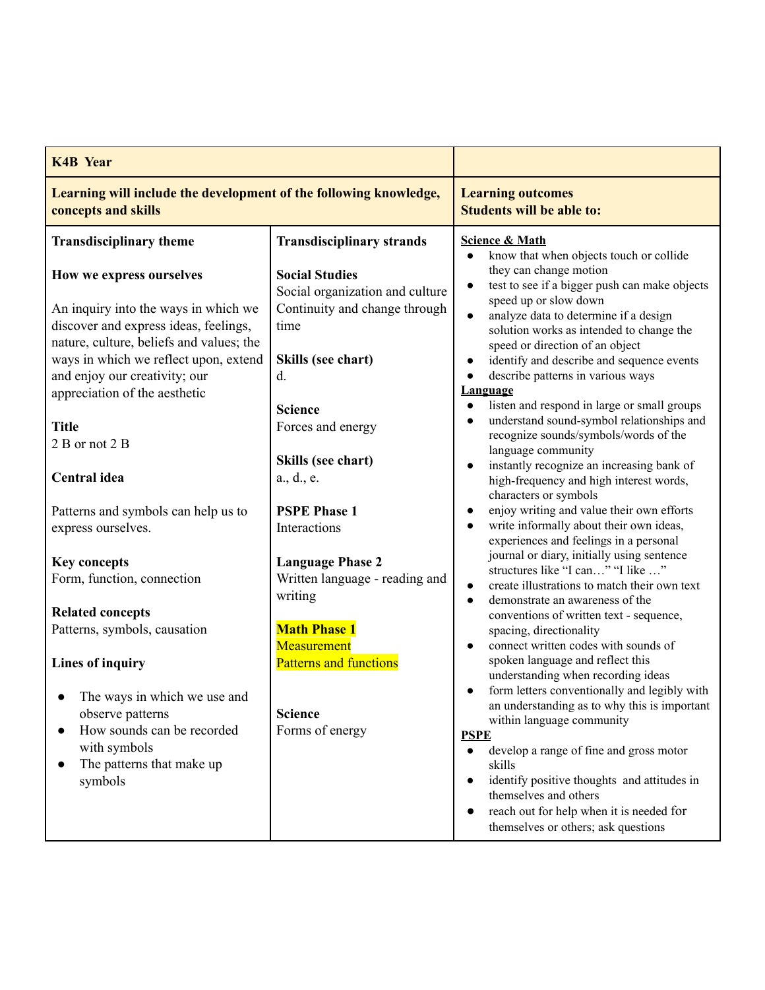| <b>K4B</b> Year                                                                                                                                                                                                                                                                                                                                                                                                                             |                                                                                                                                                                                                                                                                                                                         |                                                                                                                                                                                                                                                                                                                                                                                                                                                                                                                                                                                                                                                                                                                                                                                                                                                                                                          |
|---------------------------------------------------------------------------------------------------------------------------------------------------------------------------------------------------------------------------------------------------------------------------------------------------------------------------------------------------------------------------------------------------------------------------------------------|-------------------------------------------------------------------------------------------------------------------------------------------------------------------------------------------------------------------------------------------------------------------------------------------------------------------------|----------------------------------------------------------------------------------------------------------------------------------------------------------------------------------------------------------------------------------------------------------------------------------------------------------------------------------------------------------------------------------------------------------------------------------------------------------------------------------------------------------------------------------------------------------------------------------------------------------------------------------------------------------------------------------------------------------------------------------------------------------------------------------------------------------------------------------------------------------------------------------------------------------|
| Learning will include the development of the following knowledge,<br>concepts and skills                                                                                                                                                                                                                                                                                                                                                    |                                                                                                                                                                                                                                                                                                                         | <b>Learning outcomes</b><br><b>Students will be able to:</b>                                                                                                                                                                                                                                                                                                                                                                                                                                                                                                                                                                                                                                                                                                                                                                                                                                             |
| <b>Transdisciplinary theme</b>                                                                                                                                                                                                                                                                                                                                                                                                              | <b>Transdisciplinary strands</b>                                                                                                                                                                                                                                                                                        | <b>Science &amp; Math</b><br>know that when objects touch or collide                                                                                                                                                                                                                                                                                                                                                                                                                                                                                                                                                                                                                                                                                                                                                                                                                                     |
| How we express ourselves<br>An inquiry into the ways in which we<br>discover and express ideas, feelings,<br>nature, culture, beliefs and values; the<br>ways in which we reflect upon, extend<br>and enjoy our creativity; our<br>appreciation of the aesthetic<br><b>Title</b><br>2 B or not 2 B<br><b>Central</b> idea<br>Patterns and symbols can help us to<br>express ourselves.<br><b>Key concepts</b><br>Form, function, connection | <b>Social Studies</b><br>Social organization and culture<br>Continuity and change through<br>time<br>Skills (see chart)<br>d.<br><b>Science</b><br>Forces and energy<br>Skills (see chart)<br>a., d., e.<br><b>PSPE Phase 1</b><br>Interactions<br><b>Language Phase 2</b><br>Written language - reading and<br>writing | they can change motion<br>test to see if a bigger push can make objects<br>speed up or slow down<br>analyze data to determine if a design<br>solution works as intended to change the<br>speed or direction of an object<br>identify and describe and sequence events<br>describe patterns in various ways<br><b>Language</b><br>listen and respond in large or small groups<br>$\bullet$<br>understand sound-symbol relationships and<br>recognize sounds/symbols/words of the<br>language community<br>instantly recognize an increasing bank of<br>high-frequency and high interest words,<br>characters or symbols<br>enjoy writing and value their own efforts<br>write informally about their own ideas,<br>$\bullet$<br>experiences and feelings in a personal<br>journal or diary, initially using sentence<br>structures like "I can" "I like "<br>create illustrations to match their own text |
| <b>Related concepts</b><br>Patterns, symbols, causation<br><b>Lines of inquiry</b><br>The ways in which we use and<br>observe patterns<br>How sounds can be recorded<br>with symbols<br>The patterns that make up<br>$\bullet$<br>symbols                                                                                                                                                                                                   | <b>Math Phase 1</b><br>Measurement<br><b>Patterns and functions</b><br><b>Science</b><br>Forms of energy                                                                                                                                                                                                                | demonstrate an awareness of the<br>$\bullet$<br>conventions of written text - sequence,<br>spacing, directionality<br>connect written codes with sounds of<br>spoken language and reflect this<br>understanding when recording ideas<br>form letters conventionally and legibly with<br>an understanding as to why this is important<br>within language community<br><b>PSPE</b><br>develop a range of fine and gross motor<br>$\bullet$<br>skills<br>identify positive thoughts and attitudes in<br>$\bullet$<br>themselves and others<br>reach out for help when it is needed for<br>$\bullet$<br>themselves or others; ask questions                                                                                                                                                                                                                                                                  |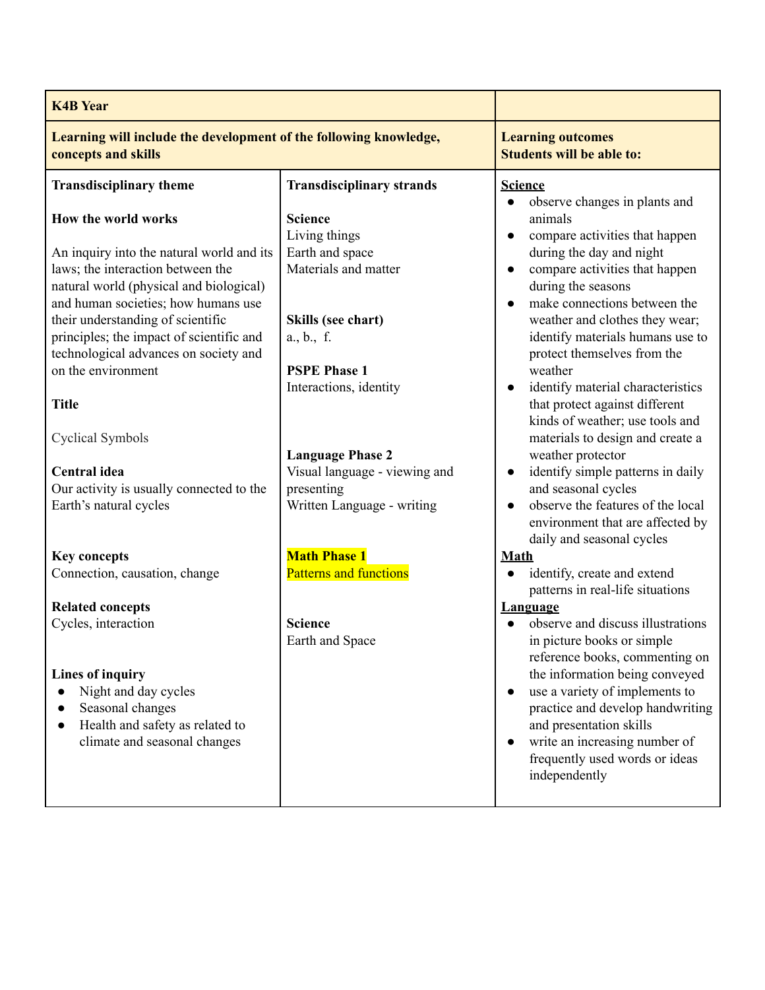| <b>K4B Year</b>                                                                                                                                                                                                                                                                                                                                         |                                                                                                                                                                 |                                                                                                                                                                                                                                                                                                                                                                                                                                                    |
|---------------------------------------------------------------------------------------------------------------------------------------------------------------------------------------------------------------------------------------------------------------------------------------------------------------------------------------------------------|-----------------------------------------------------------------------------------------------------------------------------------------------------------------|----------------------------------------------------------------------------------------------------------------------------------------------------------------------------------------------------------------------------------------------------------------------------------------------------------------------------------------------------------------------------------------------------------------------------------------------------|
| Learning will include the development of the following knowledge,<br>concepts and skills                                                                                                                                                                                                                                                                |                                                                                                                                                                 | <b>Learning outcomes</b><br><b>Students will be able to:</b>                                                                                                                                                                                                                                                                                                                                                                                       |
| <b>Transdisciplinary theme</b>                                                                                                                                                                                                                                                                                                                          | <b>Transdisciplinary strands</b>                                                                                                                                | <b>Science</b>                                                                                                                                                                                                                                                                                                                                                                                                                                     |
| How the world works<br>An inquiry into the natural world and its<br>laws; the interaction between the<br>natural world (physical and biological)<br>and human societies; how humans use<br>their understanding of scientific<br>principles; the impact of scientific and<br>technological advances on society and<br>on the environment<br><b>Title</b> | <b>Science</b><br>Living things<br>Earth and space<br>Materials and matter<br>Skills (see chart)<br>a., b., f.<br><b>PSPE Phase 1</b><br>Interactions, identity | observe changes in plants and<br>animals<br>compare activities that happen<br>$\bullet$<br>during the day and night<br>compare activities that happen<br>during the seasons<br>make connections between the<br>$\bullet$<br>weather and clothes they wear;<br>identify materials humans use to<br>protect themselves from the<br>weather<br>identify material characteristics<br>that protect against different<br>kinds of weather; use tools and |
| <b>Cyclical Symbols</b>                                                                                                                                                                                                                                                                                                                                 |                                                                                                                                                                 | materials to design and create a                                                                                                                                                                                                                                                                                                                                                                                                                   |
| <b>Central</b> idea<br>Our activity is usually connected to the<br>Earth's natural cycles                                                                                                                                                                                                                                                               | <b>Language Phase 2</b><br>Visual language - viewing and<br>presenting<br>Written Language - writing                                                            | weather protector<br>identify simple patterns in daily<br>and seasonal cycles<br>observe the features of the local<br>$\bullet$<br>environment that are affected by<br>daily and seasonal cycles                                                                                                                                                                                                                                                   |
| <b>Key concepts</b>                                                                                                                                                                                                                                                                                                                                     | <b>Math Phase 1</b>                                                                                                                                             | Math                                                                                                                                                                                                                                                                                                                                                                                                                                               |
| Connection, causation, change                                                                                                                                                                                                                                                                                                                           | <b>Patterns and functions</b>                                                                                                                                   | identify, create and extend<br>patterns in real-life situations                                                                                                                                                                                                                                                                                                                                                                                    |
| <b>Related concepts</b><br>Cycles, interaction                                                                                                                                                                                                                                                                                                          | <b>Science</b><br>Earth and Space                                                                                                                               | <b>Language</b><br>observe and discuss illustrations<br>in picture books or simple                                                                                                                                                                                                                                                                                                                                                                 |
| <b>Lines of inquiry</b><br>Night and day cycles<br>Seasonal changes<br>Health and safety as related to<br>$\bullet$<br>climate and seasonal changes                                                                                                                                                                                                     |                                                                                                                                                                 | reference books, commenting on<br>the information being conveyed<br>use a variety of implements to<br>practice and develop handwriting<br>and presentation skills<br>write an increasing number of<br>frequently used words or ideas<br>independently                                                                                                                                                                                              |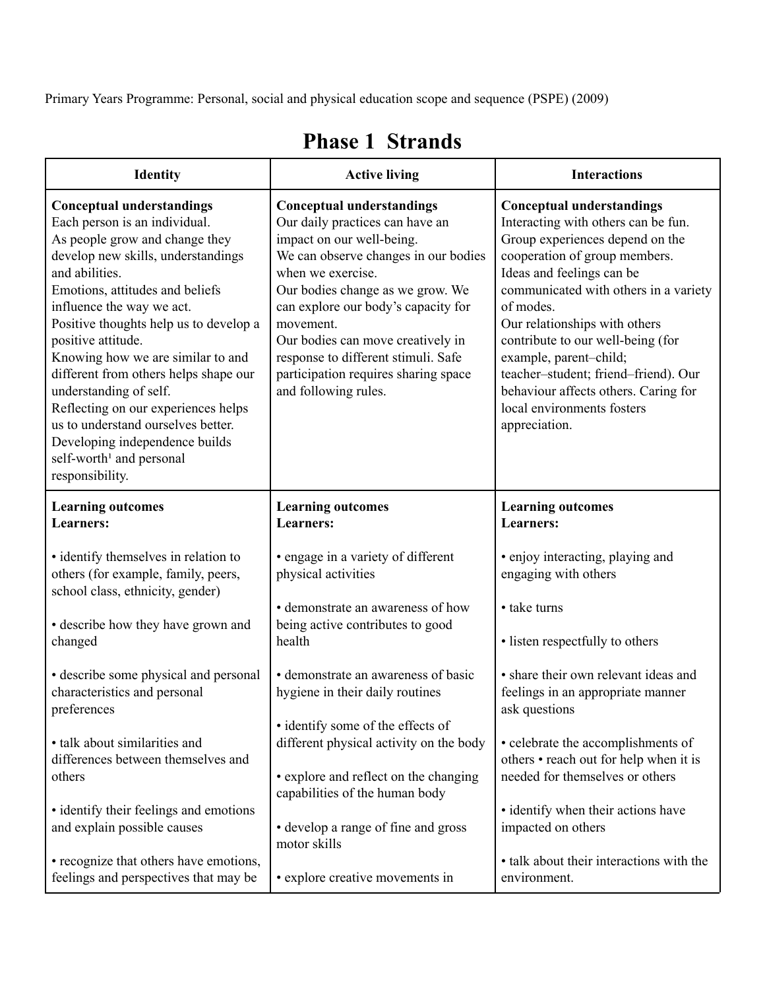Primary Years Programme: Personal, social and physical education scope and sequence (PSPE) (2009)

| <b>Identity</b>                                                                                                                                                                                                                                                                                                                                                                                                                                                                                                                                                               | <b>Active living</b>                                                                                                                                                                                                                                                                                                                                                                              | <b>Interactions</b>                                                                                                                                                                                                                                                                                                                                                                                                                                           |
|-------------------------------------------------------------------------------------------------------------------------------------------------------------------------------------------------------------------------------------------------------------------------------------------------------------------------------------------------------------------------------------------------------------------------------------------------------------------------------------------------------------------------------------------------------------------------------|---------------------------------------------------------------------------------------------------------------------------------------------------------------------------------------------------------------------------------------------------------------------------------------------------------------------------------------------------------------------------------------------------|---------------------------------------------------------------------------------------------------------------------------------------------------------------------------------------------------------------------------------------------------------------------------------------------------------------------------------------------------------------------------------------------------------------------------------------------------------------|
| <b>Conceptual understandings</b><br>Each person is an individual.<br>As people grow and change they<br>develop new skills, understandings<br>and abilities.<br>Emotions, attitudes and beliefs<br>influence the way we act.<br>Positive thoughts help us to develop a<br>positive attitude.<br>Knowing how we are similar to and<br>different from others helps shape our<br>understanding of self.<br>Reflecting on our experiences helps<br>us to understand ourselves better.<br>Developing independence builds<br>self-worth <sup>1</sup> and personal<br>responsibility. | <b>Conceptual understandings</b><br>Our daily practices can have an<br>impact on our well-being.<br>We can observe changes in our bodies<br>when we exercise.<br>Our bodies change as we grow. We<br>can explore our body's capacity for<br>movement.<br>Our bodies can move creatively in<br>response to different stimuli. Safe<br>participation requires sharing space<br>and following rules. | <b>Conceptual understandings</b><br>Interacting with others can be fun.<br>Group experiences depend on the<br>cooperation of group members.<br>Ideas and feelings can be<br>communicated with others in a variety<br>of modes.<br>Our relationships with others<br>contribute to our well-being (for<br>example, parent-child;<br>teacher-student; friend-friend). Our<br>behaviour affects others. Caring for<br>local environments fosters<br>appreciation. |
| <b>Learning outcomes</b><br><b>Learners:</b>                                                                                                                                                                                                                                                                                                                                                                                                                                                                                                                                  | <b>Learning outcomes</b><br><b>Learners:</b>                                                                                                                                                                                                                                                                                                                                                      | <b>Learning outcomes</b><br><b>Learners:</b>                                                                                                                                                                                                                                                                                                                                                                                                                  |
| · identify themselves in relation to<br>others (for example, family, peers,<br>school class, ethnicity, gender)                                                                                                                                                                                                                                                                                                                                                                                                                                                               | • engage in a variety of different<br>physical activities                                                                                                                                                                                                                                                                                                                                         | • enjoy interacting, playing and<br>engaging with others                                                                                                                                                                                                                                                                                                                                                                                                      |
| • describe how they have grown and<br>changed                                                                                                                                                                                                                                                                                                                                                                                                                                                                                                                                 | • demonstrate an awareness of how<br>being active contributes to good<br>health                                                                                                                                                                                                                                                                                                                   | • take turns<br>• listen respectfully to others                                                                                                                                                                                                                                                                                                                                                                                                               |
| • describe some physical and personal<br>characteristics and personal<br>preferences                                                                                                                                                                                                                                                                                                                                                                                                                                                                                          | • demonstrate an awareness of basic<br>hygiene in their daily routines                                                                                                                                                                                                                                                                                                                            | • share their own relevant ideas and<br>feelings in an appropriate manner<br>ask questions                                                                                                                                                                                                                                                                                                                                                                    |
| • talk about similarities and<br>differences between themselves and<br>others                                                                                                                                                                                                                                                                                                                                                                                                                                                                                                 | • identify some of the effects of<br>different physical activity on the body<br>• explore and reflect on the changing<br>capabilities of the human body                                                                                                                                                                                                                                           | • celebrate the accomplishments of<br>others • reach out for help when it is<br>needed for themselves or others                                                                                                                                                                                                                                                                                                                                               |
| • identify their feelings and emotions<br>and explain possible causes                                                                                                                                                                                                                                                                                                                                                                                                                                                                                                         | • develop a range of fine and gross<br>motor skills                                                                                                                                                                                                                                                                                                                                               | • identify when their actions have<br>impacted on others                                                                                                                                                                                                                                                                                                                                                                                                      |
| • recognize that others have emotions,<br>feelings and perspectives that may be                                                                                                                                                                                                                                                                                                                                                                                                                                                                                               | • explore creative movements in                                                                                                                                                                                                                                                                                                                                                                   | • talk about their interactions with the<br>environment.                                                                                                                                                                                                                                                                                                                                                                                                      |

## **Phase 1 Strands**